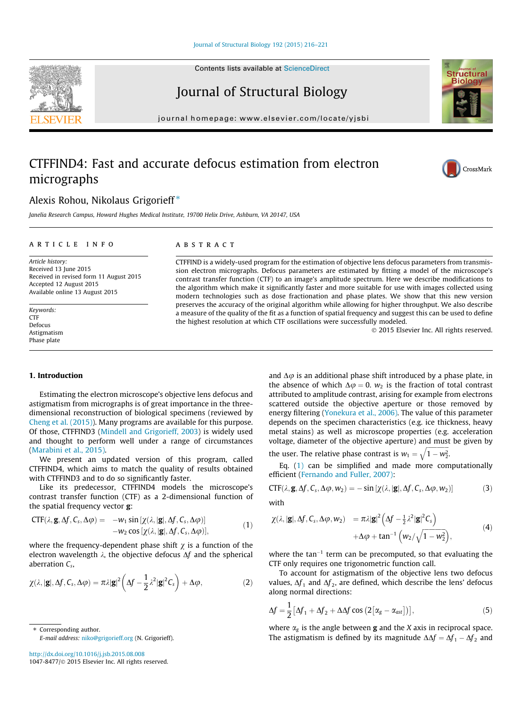Journal of Structural Biology

journal homepage: [www.elsevier.com/locate/yjsbi](http://www.elsevier.com/locate/yjsbi)

# CTFFIND4: Fast and accurate defocus estimation from electron micrographs

# Alexis Rohou, Nikolaus Grigorieff<sup>\*</sup>

Janelia Research Campus, Howard Hughes Medical Institute, 19700 Helix Drive, Ashburn, VA 20147, USA

# article info

Article history: Received 13 June 2015 Received in revised form 11 August 2015 Accepted 12 August 2015 Available online 13 August 2015

Keywords: CTF Defocus Astigmatism Phase plate

# ABSTRACT

CTFFIND is a widely-used program for the estimation of objective lens defocus parameters from transmission electron micrographs. Defocus parameters are estimated by fitting a model of the microscope's contrast transfer function (CTF) to an image's amplitude spectrum. Here we describe modifications to the algorithm which make it significantly faster and more suitable for use with images collected using modern technologies such as dose fractionation and phase plates. We show that this new version preserves the accuracy of the original algorithm while allowing for higher throughput. We also describe a measure of the quality of the fit as a function of spatial frequency and suggest this can be used to define the highest resolution at which CTF oscillations were successfully modeled.

2015 Elsevier Inc. All rights reserved.

# 1. Introduction

Estimating the electron microscope's objective lens defocus and astigmatism from micrographs is of great importance in the threedimensional reconstruction of biological specimens (reviewed by [Cheng et al. \(2015\)\)](#page-5-0). Many programs are available for this purpose. Of those, CTFFIND3 [\(Mindell and Grigorieff, 2003](#page-5-0)) is widely used and thought to perform well under a range of circumstances ([Marabini et al., 2015\).](#page-5-0)

We present an updated version of this program, called CTFFIND4, which aims to match the quality of results obtained with CTFFIND3 and to do so significantly faster.

Like its predecessor, CTFFIND4 models the microscope's contrast transfer function (CTF) as a 2-dimensional function of the spatial frequency vector g:

$$
CTF(\lambda, \mathbf{g}, \Delta f, C_s, \Delta \varphi) = -w_1 \sin [\chi(\lambda, |\mathbf{g}|, \Delta f, C_s, \Delta \varphi)] -w_2 \cos [\chi(\lambda, |\mathbf{g}|, \Delta f, C_s, \Delta \varphi)],
$$
(1)

where the frequency-dependent phase shift  $\chi$  is a function of the electron wavelength  $\lambda$ , the objective defocus  $\Delta f$  and the spherical aberration  $C_s$ ,

$$
\chi(\lambda, |\mathbf{g}|, \Delta f, C_s, \Delta \varphi) = \pi \lambda |\mathbf{g}|^2 \left( \Delta f - \frac{1}{2} \lambda^2 |\mathbf{g}|^2 C_s \right) + \Delta \varphi,
$$
\n(2)

⇑ Corresponding author. E-mail address: [niko@grigorieff.org](mailto:niko@grigorieff.org) (N. Grigorieff).

<http://dx.doi.org/10.1016/j.jsb.2015.08.008> 1047-8477/© 2015 Elsevier Inc. All rights reserved. and  $\Delta\varphi$  is an additional phase shift introduced by a phase plate, in the absence of which  $\Delta \varphi = 0$ .  $w_2$  is the fraction of total contrast attributed to amplitude contrast, arising for example from electrons scattered outside the objective aperture or those removed by energy filtering [\(Yonekura et al., 2006\).](#page-5-0) The value of this parameter depends on the specimen characteristics (e.g. ice thickness, heavy metal stains) as well as microscope properties (e.g. acceleration voltage, diameter of the objective aperture) and must be given by

the user. The relative phase contrast is  $w_1 = \sqrt{1 - w_2^2}$ .

Eq.  $(1)$  can be simplified and made more computationally efficient [\(Fernando and Fuller, 2007\):](#page-5-0)

$$
CTF(\lambda, \mathbf{g}, \Delta f, C_s, \Delta \varphi, w_2) = -\sin\left[\chi(\lambda, |\mathbf{g}|, \Delta f, C_s, \Delta \varphi, w_2)\right]
$$
(3)

with

$$
\chi(\lambda, |\mathbf{g}|, \Delta f, C_s, \Delta \varphi, w_2) = \pi \lambda |\mathbf{g}|^2 \left( \Delta f - \frac{1}{2} \lambda^2 |\mathbf{g}|^2 C_s \right) + \Delta \varphi + \tan^{-1} \left( w_2 / \sqrt{1 - w_2^2} \right),
$$
\n(4)

where the  $tan^{-1}$  term can be precomputed, so that evaluating the CTF only requires one trigonometric function call.

To account for astigmatism of the objective lens two defocus values,  $\Delta f_1$  and  $\Delta f_2$ , are defined, which describe the lens' defocus along normal directions:

$$
\Delta f = \frac{1}{2} \left[ \Delta f_1 + \Delta f_2 + \Delta \Delta f \cos \left( 2 \left[ \alpha_g - \alpha_{ast} \right] \right) \right],\tag{5}
$$

where  $\alpha_{g}$  is the angle between **g** and the *X* axis in reciprocal space. The astigmatism is defined by its magnitude  $\Delta \Delta f = \Delta f_1 - \Delta f_2$  and

<span id="page-0-0"></span>



CrossMark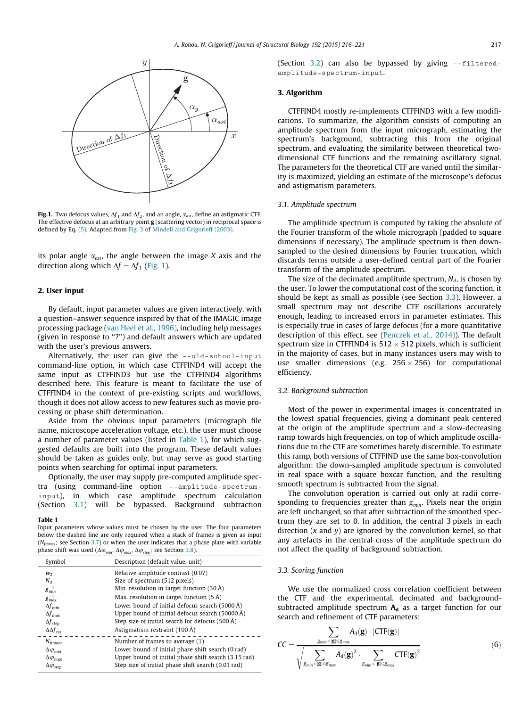<span id="page-1-0"></span>

**Fig.1.** Two defocus values,  $\Delta f_1$  and  $\Delta f_2$ , and an angle,  $\alpha_{ast}$ , define an astigmatic CTF. The effective defocus at an arbitrary point g (scattering vector) in reciprocal space is defined by Eq. [\(5\).](#page-0-0) Adapted from [Fig. 3](#page-3-0) of [Mindell and Grigorieff \(2003\).](#page-5-0)

its polar angle  $\alpha_{ast}$ , the angle between the image X axis and the direction along which  $\Delta f = \Delta f_1$  (Fig. 1).

# 2. User input

By default, input parameter values are given interactively, with a question–answer sequence inspired by that of the IMAGIC image processing package ([van Heel et al., 1996\)](#page-5-0), including help messages (given in response to ''?") and default answers which are updated with the user's previous answers.

Alternatively, the user can give the --old-school-input command-line option, in which case CTFFIND4 will accept the same input as CTFFIND3 but use the CTFFIND4 algorithms described here. This feature is meant to facilitate the use of CTFFIND4 in the context of pre-existing scripts and workflows, though it does not allow access to new features such as movie processing or phase shift determination.

Aside from the obvious input parameters (micrograph file name, microscope acceleration voltage, etc.), the user must choose a number of parameter values (listed in Table 1), for which suggested defaults are built into the program. These default values should be taken as guides only, but may serve as good starting points when searching for optimal input parameters.

Optionally, the user may supply pre-computed amplitude spectra (using command-line option --amplitude-spectruminput), in which case amplitude spectrum calculation (Section 3.1) will be bypassed. Background subtraction

## Table 1

Input parameters whose values must be chosen by the user. The four parameters below the dashed line are only required when a stack of frames is given as input ( $N_{\text{frames}}$ ; see Section [3.7](#page-2-0)) or when the user indicates that a phase plate with variable phase shift was used ( $\Delta\varphi_{min}$ ,  $\Delta\varphi_{max}$ ,  $\Delta\varphi_{step}$ ; see Section [3.8](#page-2-0)).

| Symbol                  | Description (default value, unit)                    |  |  |  |  |  |
|-------------------------|------------------------------------------------------|--|--|--|--|--|
| W <sub>2</sub>          | Relative amplitude contrast (0.07)                   |  |  |  |  |  |
| $N_d$                   | Size of spectrum (512 pixels)                        |  |  |  |  |  |
| $g_{min}^{-1}$          | Min. resolution in target function $(30 \text{ Å})$  |  |  |  |  |  |
| $g_{max}^{-1}$          | Max. resolution in target function $(5 \text{ Å})$   |  |  |  |  |  |
| $\Delta f_{min}$        | Lower bound of initial defocus search (5000 Å)       |  |  |  |  |  |
| $\Delta f_{\text{max}}$ | Upper bound of initial defocus search (50000 Å)      |  |  |  |  |  |
| $\Delta f_{step}$       | Step size of initial search for defocus (500 Å)      |  |  |  |  |  |
| $\Delta \Delta f_{res}$ | Astigmatism restraint $(100 \text{ Å})$              |  |  |  |  |  |
| $N_{frames}$            | Number of frames to average (1)                      |  |  |  |  |  |
| $\Delta\varphi_{min}$   | Lower bound of initial phase shift search (0 rad)    |  |  |  |  |  |
| $\Delta\varphi_{max}$   | Upper bound of initial phase shift search (3.15 rad) |  |  |  |  |  |
| $\Delta\varphi_{step}$  | Step size of initial phase shift search (0.01 rad)   |  |  |  |  |  |

(Section 3.2) can also be bypassed by giving  $\text{-filtered}$ amplitude-spectrum-input.

### 3. Algorithm

CTFFIND4 mostly re-implements CTFFIND3 with a few modifications. To summarize, the algorithm consists of computing an amplitude spectrum from the input micrograph, estimating the spectrum's background, subtracting this from the original spectrum, and evaluating the similarity between theoretical twodimensional CTF functions and the remaining oscillatory signal. The parameters for the theoretical CTF are varied until the similarity is maximized, yielding an estimate of the microscope's defocus and astigmatism parameters.

# 3.1. Amplitude spectrum

The amplitude spectrum is computed by taking the absolute of the Fourier transform of the whole micrograph (padded to square dimensions if necessary). The amplitude spectrum is then downsampled to the desired dimensions by Fourier truncation, which discards terms outside a user-defined central part of the Fourier transform of the amplitude spectrum.

The size of the decimated amplitude spectrum,  $N_d$ , is chosen by the user. To lower the computational cost of the scoring function, it should be kept as small as possible (see Section 3.3). However, a small spectrum may not describe CTF oscillations accurately enough, leading to increased errors in parameter estimates. This is especially true in cases of large defocus (for a more quantitative description of this effect, see [\(Penczek et al., 2014\)\)](#page-5-0). The default spectrum size in CTFFIND4 is  $512 \times 512$  pixels, which is sufficient in the majority of cases, but in many instances users may wish to use smaller dimensions (e.g.  $256 \times 256$ ) for computational efficiency.

# 3.2. Background subtraction

Most of the power in experimental images is concentrated in the lowest spatial frequencies, giving a dominant peak centered at the origin of the amplitude spectrum and a slow-decreasing ramp towards high frequencies, on top of which amplitude oscillations due to the CTF are sometimes barely discernible. To estimate this ramp, both versions of CTFFIND use the same box-convolution algorithm: the down-sampled amplitude spectrum is convoluted in real space with a square boxcar function, and the resulting smooth spectrum is subtracted from the signal.

The convolution operation is carried out only at radii corresponding to frequencies greater than  $g_{min}$ . Pixels near the origin are left unchanged, so that after subtraction of the smoothed spectrum they are set to 0. In addition, the central 3 pixels in each direction  $(x \text{ and } y)$  are ignored by the convolution kernel, so that any artefacts in the central cross of the amplitude spectrum do not affect the quality of background subtraction.

## 3.3. Scoring function

We use the normalized cross correlation coefficient between the CTF and the experimental, decimated and backgroundsubtracted amplitude spectrum  $A_d$  as a target function for our search and refinement of CTF parameters:

$$
CC = \frac{\sum_{g_{min} < |\mathbf{g}| \le g_{max}} A_d(\mathbf{g}) \cdot |\text{CTF}(\mathbf{g})|}{\sqrt{\sum_{g_{min} < |\mathbf{g}| \le g_{max}} A_d(\mathbf{g})^2 \cdot \sum_{g_{min} < |\mathbf{g}| \le g_{max}} \text{CTF}(\mathbf{g})^2}} \tag{6}
$$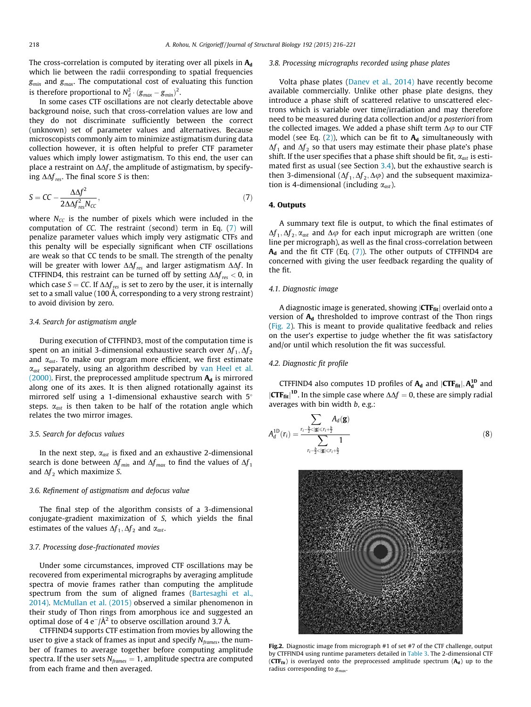<span id="page-2-0"></span>The cross-correlation is computed by iterating over all pixels in  $A_d$ which lie between the radii corresponding to spatial frequencies  $g_{min}$  and  $g_{max}$ . The computational cost of evaluating this function is therefore proportional to  $N_d^2 \cdot (g_{max} - g_{min})^2$ .<br>In some cases CTE oscillations are not clear

In some cases CTF oscillations are not clearly detectable above background noise, such that cross-correlation values are low and they do not discriminate sufficiently between the correct (unknown) set of parameter values and alternatives. Because microscopists commonly aim to minimize astigmatism during data collection however, it is often helpful to prefer CTF parameter values which imply lower astigmatism. To this end, the user can place a restraint on  $\Delta\Delta f$ , the amplitude of astigmatism, by specifying  $\Delta \Delta f_{res}$ . The final score S is then:

$$
S = CC - \frac{\Delta \Delta f^2}{2\Delta \Delta f_{res}^2 N_{cc}},\tag{7}
$$

where  $N_{CC}$  is the number of pixels which were included in the computation of CC. The restraint (second) term in Eq. (7) will penalize parameter values which imply very astigmatic CTFs and this penalty will be especially significant when CTF oscillations are weak so that CC tends to be small. The strength of the penalty will be greater with lower  $\Delta \Delta f_{res}$  and larger astigmatism  $\Delta \Delta f$ . In CTFFIND4, this restraint can be turned off by setting  $\Delta \Delta f_{res} < 0$ , in which case  $S = CC$ . If  $\Delta \Delta f_{res}$  is set to zero by the user, it is internally set to a small value (100 Å, corresponding to a very strong restraint) to avoid division by zero.

# 3.4. Search for astigmatism angle

During execution of CTFFIND3, most of the computation time is spent on an initial 3-dimensional exhaustive search over  $\Delta f_1$ ,  $\Delta f_2$ and  $\alpha_{ast}$ . To make our program more efficient, we first estimate  $\alpha_{ast}$  separately, using an algorithm described by [van Heel et al.](#page-5-0) [\(2000\).](#page-5-0) First, the preprocessed amplitude spectrum  $A_d$  is mirrored along one of its axes. It is then aligned rotationally against its mirrored self using a 1-dimensional exhaustive search with 5° steps.  $\alpha_{ast}$  is then taken to be half of the rotation angle which relates the two mirror images.

# 3.5. Search for defocus values

In the next step,  $\alpha_{ast}$  is fixed and an exhaustive 2-dimensional search is done between  $\Delta f_{min}$  and  $\Delta f_{max}$  to find the values of  $\Delta f_{1}$ and  $\Delta f_2$  which maximize S.

# 3.6. Refinement of astigmatism and defocus value

The final step of the algorithm consists of a 3-dimensional conjugate-gradient maximization of S, which yields the final estimates of the values  $\Delta f_1$ ,  $\Delta f_2$  and  $\alpha_{ast}$ .

# 3.7. Processing dose-fractionated movies

Under some circumstances, improved CTF oscillations may be recovered from experimental micrographs by averaging amplitude spectra of movie frames rather than computing the amplitude spectrum from the sum of aligned frames ([Bartesaghi et al.,](#page-5-0) [2014\).](#page-5-0) [McMullan et al. \(2015\)](#page-5-0) observed a similar phenomenon in their study of Thon rings from amorphous ice and suggested an optimal dose of 4 e $^-$ /Å $^2$  to observe oscillation around 3.7 Å.

CTFFIND4 supports CTF estimation from movies by allowing the user to give a stack of frames as input and specify  $N_{frames}$ , the number of frames to average together before computing amplitude spectra. If the user sets  $N_{frames} = 1$ , amplitude spectra are computed from each frame and then averaged.

#### 3.8. Processing micrographs recorded using phase plates

Volta phase plates ([Danev et al., 2014\)](#page-5-0) have recently become available commercially. Unlike other phase plate designs, they introduce a phase shift of scattered relative to unscattered electrons which is variable over time/irradiation and may therefore need to be measured during data collection and/or a posteriori from the collected images. We added a phase shift term  $\Delta\varphi$  to our CTF model (see Eq.  $(2)$ ), which can be fit to  $A_d$  simultaneously with  $\Delta f_1$  and  $\Delta f_2$  so that users may estimate their phase plate's phase shift. If the user specifies that a phase shift should be fit,  $\alpha_{ast}$  is estimated first as usual (see Section 3.4), but the exhaustive search is then 3-dimensional ( $\Delta f_1$ ,  $\Delta f_2$ ,  $\Delta \varphi$ ) and the subsequent maximization is 4-dimensional (including  $\alpha_{ast}$ ).

# 4. Outputs

A summary text file is output, to which the final estimates of  $\Delta f_1$ ,  $\Delta f_2$ ,  $\alpha_{ast}$  and  $\Delta \varphi$  for each input micrograph are written (one line per micrograph), as well as the final cross-correlation between  $A_d$  and the fit CTF (Eq. (7)). The other outputs of CTFFIND4 are concerned with giving the user feedback regarding the quality of the fit.

# 4.1. Diagnostic image

A diagnostic image is generated, showing  $\text{CTF}_{\text{fit}}$  overlaid onto a version of  $A_d$  thresholded to improve contrast of the Thon rings (Fig. 2). This is meant to provide qualitative feedback and relies on the user's expertise to judge whether the fit was satisfactory and/or until which resolution the fit was successful.

# 4.2. Diagnostic fit profile

CTFFIND4 also computes 1D profiles of  $A_d$  and  $|CTF_{fit}|$ ,  $A_d^{1D}$  and  $\left|\mathbf{CTF_{fit}}\right|^{10}$ . In the simple case where  $\Delta\Delta f = 0$ , these are simply radial vertices with bin width h e g : averages with bin width  $b$ , e.g.:

$$
A_d^{\text{1D}}(r_i) = \frac{\sum_{r_i - \frac{b}{2} < |\mathbf{g}| \le r_i + \frac{b}{2}} A_d(\mathbf{g})}{\sum_{r_i - \frac{b}{2} < |\mathbf{g}| \le r_i + \frac{b}{2}} 1} \tag{8}
$$



Fig.2. Diagnostic image from micrograph #1 of set #7 of the CTF challenge, output by CTFFIND4 using runtime parameters detailed in [Table 3.](#page-4-0) The 2-dimensional CTF ( $CTF_{fit}$ ) is overlayed onto the preprocessed amplitude spectrum  $(A_d)$  up to the radius corresponding to  $g_{max}$ .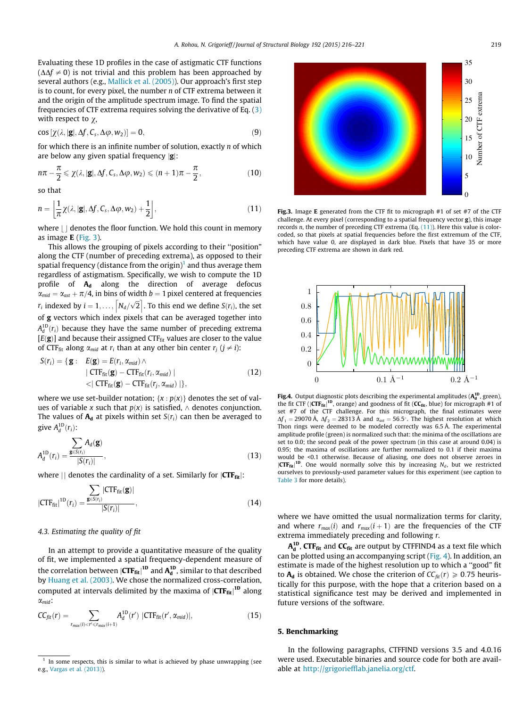<span id="page-3-0"></span>Evaluating these 1D profiles in the case of astigmatic CTF functions  $(\Delta\Delta f \neq 0)$  is not trivial and this problem has been approached by several authors (e.g., [Mallick et al. \(2005\)](#page-5-0)). Our approach's first step is to count, for every pixel, the number n of CTF extrema between it and the origin of the amplitude spectrum image. To find the spatial frequencies of CTF extrema requires solving the derivative of Eq. ([3\)](#page-0-0) with respect to  $\chi$ ,

$$
\cos\left[\chi(\lambda, |\mathbf{g}|, \Delta f, C_s, \Delta \varphi, w_2)\right] = 0, \tag{9}
$$

for which there is an infinite number of solution, exactly n of which are below any given spatial frequency  $|g|$ :

$$
n\pi - \frac{\pi}{2} \le \chi(\lambda, |\mathbf{g}|, \Delta f, C_s, \Delta \varphi, w_2) \le (n+1)\pi - \frac{\pi}{2},\tag{10}
$$

so that

$$
n = \left[\frac{1}{\pi}\chi(\lambda, |\mathbf{g}|, \Delta f, C_s, \Delta \varphi, w_2) + \frac{1}{2}\right],
$$
\n(11)

where  $||$  denotes the floor function. We hold this count in memory as image E (Fig. 3).

This allows the grouping of pixels according to their ''position" along the CTF (number of preceding extrema), as opposed to their spatial frequency (distance from the origin)<sup>1</sup> and thus average them regardless of astigmatism. Specifically, we wish to compute the 1D profile of  $A_d$  along the direction of average defocus  $\alpha_{mid} = \alpha_{ast} + \pi/4$ , in bins of width  $b = 1$  pixel centered at frequencies  $r_i$  indexed by  $i = 1, ..., \lfloor N_d/\sqrt{2} \rfloor$ . To this end we define  $S(r_i)$ , the set of g vectors which index pixels that can be averaged together into  $A_d^{10}(r_i)$  because they have the same number of preceding extrema<br> $A_d^{10}(r_i)$  and because their assigned CTF, values are closer to the value  $[E(g)]$  and because their assigned CTF<sub>fit</sub> values are closer to the value of CTF<sub>fit</sub> along  $\alpha_{mid}$  at  $r_i$  than at any other bin center  $r_i$  ( $j \neq i$ ):

$$
S(r_i) = \{ \mathbf{g} : E(\mathbf{g}) = E(r_i, \alpha_{mid}) \land \mid CTF_{\text{fit}}(\mathbf{g}) - CTF_{\text{fit}}(r_i, \alpha_{mid}) \mid \langle \mid CTF_{\text{fit}}(\mathbf{g}) - CTF_{\text{fit}}(r_j, \alpha_{mid}) \mid \},
$$
(12)

where we use set-builder notation;  $\{x : p(x)\}$  denotes the set of values of variable x such that  $p(x)$  is satisfied,  $\wedge$  denotes conjunction. The values of  $A_d$  at pixels within set  $S(r_i)$  can then be averaged to give  $A_d^{\text{1D}}(r_i)$ :

$$
A_d^{\text{1D}}(r_i) = \frac{\sum_{\mathbf{g} \in S(r_i)} A_d(\mathbf{g})}{|S(r_i)|},\tag{13}
$$

where  $||$  denotes the cardinality of a set. Similarly for  $|CTF_{fit}|$ :

$$
|CTF_{\text{fit}}|^{1D}(r_i) = \frac{\sum_{\mathbf{g} \in S(r_i)} |CTF_{\text{fit}}(\mathbf{g})|}{|S(r_i)|},
$$
\n(14)

# 4.3. Estimating the quality of fit

In an attempt to provide a quantitative measure of the quality of fit, we implemented a spatial frequency-dependent measure of the correlation between  $\left| \text{CTF}_{\text{fit}} \right|^{1D}$  and  $A_d^{1D}$ , similar to that described<br>by Huang et al. (2003). We chose the pormalized cross, correlation by [Huang et al. \(2003\)](#page-5-0). We chose the normalized cross-correlation, computed at intervals delimited by the maxima of  $|{\rm CTF_{fit}}|^{\rm 1D}$  along  $\alpha_{mid}$ :

$$
CC_{fit}(r) = \sum_{r_{max}(i) < r' \le r_{max}(i+1)} A_d^{1D}(r') |CTF_{fit}(r', \alpha_{mid})|,\tag{15}
$$

In some respects, this is similar to what is achieved by phase unwrapping (see e.g., [Vargas et al. \(2013\)](#page-5-0)).



Fig.3. Image E generated from the CTF fit to micrograph #1 of set #7 of the CTF challenge. At every pixel (corresponding to a spatial frequency vector g), this image records n, the number of preceding CTF extrema  $(Eq, (11))$ . Here this value is colorcoded, so that pixels at spatial frequencies before the first extremum of the CTF, which have value 0, are displayed in dark blue. Pixels that have 35 or more preceding CTF extrema are shown in dark red.



**Fig.4.** Output diagnostic plots describing the experimental amplitudes  $(A_d^{\text{1D}})$ , green) the fit CTF ( $|CTF_{fit}|^{1D}$ , orange) and goodness of fit ( $CC_{fit}$ , blue) for micrograph #1 of the CTF challenge. For this micrograph the final estimates were set #7 of the CTF challenge. For this micrograph, the final estimates were  $\Delta f_1 = 29070 \text{ Å}$ ,  $\Delta f_2 = 28313 \text{ Å}$  and  $\alpha_{ast} = 56.5^{\circ}$ . The highest resolution at which Thon rings were deemed to be modeled correctly was 6.5 Å. The experimental amplitude profile (green) is normalized such that: the minima of the oscillations are set to 0.0; the second peak of the power spectrum (in this case at around 0.04) is 0.95; the maxima of oscillations are further normalized to 0.1 if their maxima would be <0.1 otherwise. Because of aliasing, one does not observe zeroes in  $\left|\mathbf{C}\mathbf{F}_{\text{fit}}\right|^{1D}$ . One would normally solve this by increasing  $N_d$ , but we restricted ourselves to previously-used parameter values for this experiment (see caption to ourselves to previously-used parameter values for this experiment (see caption to [Table 3](#page-4-0) for more details).

where we have omitted the usual normalization terms for clarity, and where  $r_{max}(i)$  and  $r_{max}(i + 1)$  are the frequencies of the CTF extrema immediately preceding and following r.

 $A_{d}^{\text{1D}}$ , CTF $_{\text{fit}}$  and CC $_{\text{fit}}$  are output by CTFFIND4 as a text file which can be plotted using an accompanying script (Fig. 4). In addition, an estimate is made of the highest resolution up to which a ''good" fit to  $A_d$  is obtained. We chose the criterion of  $CC_{fit}(r) \geq 0.75$  heuristically for this purpose, with the hope that a criterion based on a statistical significance test may be derived and implemented in future versions of the software.

# 5. Benchmarking

In the following paragraphs, CTFFIND versions 3.5 and 4.0.16 were used. Executable binaries and source code for both are avail-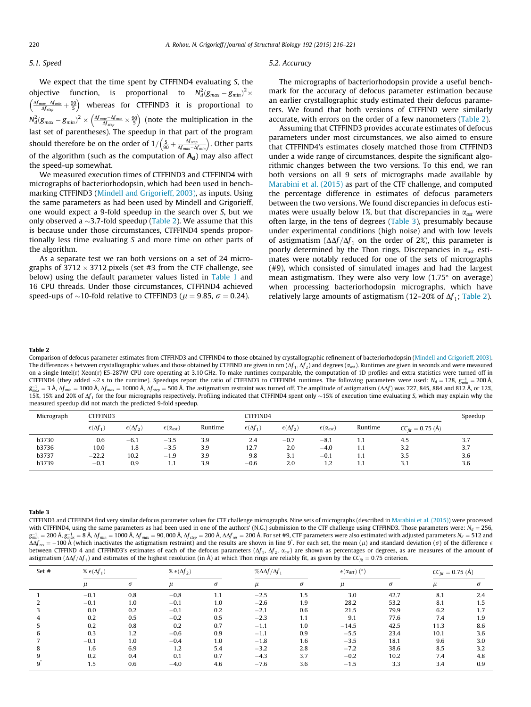#### <span id="page-4-0"></span>5.1. Speed

We expect that the time spent by CTFFIND4 evaluating S, the objective function, is proportional to  $N_d^2 (g_{max} - g_{min})^2$  $\left(\frac{\Delta f_{\text{max}}-\Delta f_{\text{min}}}{\Delta f_{\text{step}}}+\frac{90}{5}\right)$  whereas for CTFFIND3 it is proportional to  $N_d^2(g_{max} - g_{min})^2 \times \left(\frac{\Delta f_{max} - \Delta f_{min}}{\Delta f_{step}} \times \frac{90}{5}\right)$  (note the multiplication in the last set of parentheses). The speedup in that part of the program should therefore be on the order of  $1/(\frac{5}{90} + \frac{\Delta f_{step}}{\Delta f_{max}-\Delta f_{min}})$ . Other parts of the algorithm (such as the computation of  $A_d$ ) may also affect the speed-up somewhat.

We measured execution times of CTFFIND3 and CTFFIND4 with micrographs of bacteriorhodopsin, which had been used in benchmarking CTFFIND3 [\(Mindell and Grigorieff, 2003\)](#page-5-0), as inputs. Using the same parameters as had been used by Mindell and Grigorieff, one would expect a 9-fold speedup in the search over S, but we only observed a  $\sim$ 3.7-fold speedup (Table 2). We assume that this is because under those circumstances, CTFFIND4 spends proportionally less time evaluating S and more time on other parts of the algorithm.

As a separate test we ran both versions on a set of 24 micrographs of 3712  $\times$  3712 pixels (set #3 from the CTF challenge, see below) using the default parameter values listed in [Table 1](#page-1-0) and 16 CPU threads. Under those circumstances, CTFFIND4 achieved speed-ups of  $\sim$ 10-fold relative to CTFFIND3 ( $\mu$  = 9.85,  $\sigma$  = 0.24).

#### 5.2. Accuracy

The micrographs of bacteriorhodopsin provide a useful benchmark for the accuracy of defocus parameter estimation because an earlier crystallographic study estimated their defocus parameters. We found that both versions of CTFFIND were similarly accurate, with errors on the order of a few nanometers (Table 2).

Assuming that CTFFIND3 provides accurate estimates of defocus parameters under most circumstances, we also aimed to ensure that CTFFIND4's estimates closely matched those from CTFFIND3 under a wide range of circumstances, despite the significant algorithmic changes between the two versions. To this end, we ran both versions on all 9 sets of micrographs made available by [Marabini et al. \(2015\)](#page-5-0) as part of the CTF challenge, and computed the percentage difference in estimates of defocus parameters between the two versions. We found discrepancies in defocus estimates were usually below 1%, but that discrepancies in  $\alpha_{ast}$  were often large, in the tens of degrees (Table 3), presumably because under experimental conditions (high noise) and with low levels of astigmatism  $(\Delta \Delta f / \Delta f_1)$  on the order of 2%), this parameter is poorly determined by the Thon rings. Discrepancies in  $\alpha_{ast}$  estimates were notably reduced for one of the sets of micrographs (#9), which consisted of simulated images and had the largest mean astigmatism. They were also very low  $(1.75^{\circ}$  on average) when processing bacteriorhodopsin micrographs, which have relatively large amounts of astigmatism (12–20% of  $\Delta f_1$ ; Table 2).

#### Table 2

Comparison of defocus parameter estimates from CTFFIND3 and CTFFIND4 to those obtained by crystallographic refinement of bacteriorhodopsin [\(Mindell and Grigorieff, 2003\)](#page-5-0). The differences  $\epsilon$  between crystallographic values and those obtained by CTFFIND are given in nm ( $\Delta f_1,\Delta f_2$ ) and degrees ( $\alpha_{\rm ast}$ ). Runtimes are given in seconds and were measured on a single Intel(r) Xeon(r) E5-287W CPU core operating at 3.10 GHz. To make runtimes comparable, the computation of 1D profiles and extra statistics were turned off in CTFFIND4 (they added ~2s to the runtime). Speedups report the ratio of CTFFIND3 to CTFFIND4 runtimes. The following parameters were used: N<sub>d</sub> = 128, g<sub>min</sub> = 200 Å,<br> $\sigma^{-1}$  = 2 Å, M<sub>p</sub> = 1000 Å, Mp = 10000 Å, Mp = 500 Å.  $g_{max}^{-1} = 3$  Å,  $\Delta f_{min} = 1000$  Å,  $\Delta f_{max} = 10000$  Å,  $\Delta f_{step} = 500$  Å. The astigmatism restraint was turned off. The amplitude of astigmatism ( $\Delta \Delta f$ ) was 727, 845, 884 and 812 Å, or 12%,  $\Delta f_{max} = 1000$  Å,  $\Delta f_{step} = 500$  Å 15%, 15% and 20% of  $\Delta f_1$  for the four micrographs respectively. Profiling indicated that CTFFIND4 spent only  $\sim$ 15% of execution time evaluating S, which may explain why the measured speedup did not match the predicted 9-fold speedup.

| Micrograph | CTFFIND3               |                        |                          |         | <b>CTFFIND4</b>        |                        |                          |         |                       | Speedup |
|------------|------------------------|------------------------|--------------------------|---------|------------------------|------------------------|--------------------------|---------|-----------------------|---------|
|            | $\epsilon(\Delta f_1)$ | $\epsilon(\Delta f_2)$ | $\epsilon(\alpha_{ast})$ | Runtime | $\epsilon(\Delta f_1)$ | $\epsilon(\Delta f_2)$ | $\epsilon(\alpha_{ast})$ | Runtime | $CC_{fit} = 0.75$ (Å) |         |
| b3730      | 0.6                    | $-6.1$                 | $-3.5$                   | 3.9     | 2.4                    | $-0.7$                 | $-8.1$                   | 1.1     | 4.5                   | 3.7     |
| b3736      | 10.0                   | 1.8                    | $-3.5$                   | 3.9     | 12.7                   | 2.0                    | $-4.0$                   | 1.1     | 3.2                   | 3.7     |
| b3737      | $-22.2$                | 10.2                   | $-1.9$                   | 3.9     | 9.8                    | 3.1                    | $-0.1$                   | 1.1     | 3.5                   | 3.6     |
| b3739      | $-0.3$                 | 0.9                    | 1.1                      | 3.9     | $-0.6$                 | 2.0                    | 1.2                      | 1.1     | 3.1                   | 3.6     |

#### Table 3

CTFFIND3 and CTFFIND4 find very similar defocus parameter values for CTF challenge micrographs. Nine sets of micrographs (described in [Marabini et al. \(2015\)](#page-5-0)) were processed with CTFFIND4, using the same parameters as had been used in one of the authors' (N.G.) submission to the CTF challenge using CTFFIND3. Those parameters were:  $N_d = 256$ ,  $g_{min}^{-1} = 200$  Å,  $g_{max}^{-1} = 8$  Å,  $\Delta f_{min} = 1000$  Å,  $\Delta f_{max} = 90,000$  Å,  $\Delta f_{step} = 200$  Å,  $\Delta \Delta f_{res} = 200$  Å. For set #9, CTF parameters were also estimated with adjusted parameters N<sub>d</sub> = 512 and  $\Delta f_{max} = 100$  Å (which ins  $\Delta\Delta f_{res} = -100 \text{ Å}$  (which inactivates the astigmatism restraint) and the results are shown in line 9<sup>\*</sup>. For each set, the mean ( $\mu$ ) and standard deviation ( $\sigma$ ) of the difference  $\epsilon$  of the difference of each of th between CTFFIND 4 and CTFFIND3's estimates of each of the defocus parameters ( $\Delta f_1$ ,  $\Delta f_2$ ,  $\alpha_{ast}$ ) are shown as percentages or degrees, as are measures of the amount of astigmatism  $(\Delta \Delta f / \Delta f_1)$  and estimates of the highest resolution (in Å) at which Thon rings are reliably fit, as given by the  $C_{fit} = 0.75$  criterion.

| Set # | % $\epsilon(\Delta f_1)$ |     | % $\epsilon(\Delta f_2)$ |          | $\% \Delta \Delta f / \Delta f_1$ |     | $\epsilon(\alpha_{ast})$ (°) |      | $CC_{fit} = 0.75$ (Å) |     |
|-------|--------------------------|-----|--------------------------|----------|-----------------------------------|-----|------------------------------|------|-----------------------|-----|
|       |                          | σ   |                          | $\sigma$ |                                   |     |                              |      |                       |     |
|       | $-0.1$                   | 0.8 | $-0.8$                   | 1.1      | $-2.5$                            | 1.5 | 3.0                          | 42.7 | 8.1                   | 2.4 |
|       | $-0.1$                   | 1.0 | $-0.1$                   | 1.0      | $-2.6$                            | 1.9 | 28.2                         | 53.2 | 8.1                   | 1.5 |
|       | 0.0                      | 0.2 | $-0.1$                   | 0.2      | $-2.1$                            | 0.6 | 21.5                         | 79.9 | 6.2                   | 1.7 |
|       | 0.2                      | 0.5 | $-0.2$                   | 0.5      | $-2.3$                            | 1.1 | 9.1                          | 77.6 | 7.4                   | 1.9 |
|       | 0.2                      | 0.8 | 0.2                      | 0.7      | $-1.1$                            | 1.0 | $-14.5$                      | 42.5 | 11.3                  | 8.6 |
|       | 0.3                      | 1.2 | $-0.6$                   | 0.9      | $-1.1$                            | 0.9 | $-5.5$                       | 23.4 | 10.1                  | 3.6 |
|       | $-0.1$                   | 1.0 | $-0.4$                   | 1.0      | $-1.8$                            | 1.6 | $-3.5$                       | 18.1 | 9.6                   | 3.0 |
|       | 1.6                      | 6.9 | 1.2                      | 5.4      | $-3.2$                            | 2.8 | $-7.2$                       | 38.6 | 8.5                   | 3.2 |
|       | 0.2                      | 0.4 | 0.1                      | 0.7      | $-4.3$                            | 3.7 | $-0.2$                       | 10.2 | 7.4                   | 4.8 |
|       | 1.5                      | 0.6 | $-4.0$                   | 4.6      | $-7.6$                            | 3.6 | $-1.5$                       | 3.3  | 3.4                   | 0.9 |